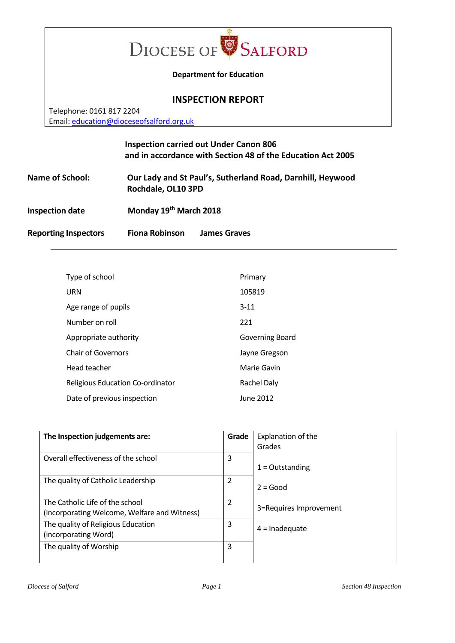

#### **Department for Education**

#### **INSPECTION REPORT**

Telephone: 0161 817 2204 Email: [education@dioceseofsalford.org.uk](mailto:education@dioceseofsalford.org.uk)

# **Inspection carried out Under Canon 806 and in accordance with Section 48 of the Education Act 2005**

**Name of School: Our Lady and St Paul's, Sutherland Road, Darnhill, Heywood Rochdale, OL10 3PD Inspection date Monday 19th March 2018**

**Reporting Inspectors Fiona Robinson James Graves**

| Type of school                          | Primary         |
|-----------------------------------------|-----------------|
| URN                                     | 105819          |
| Age range of pupils                     | $3 - 11$        |
| Number on roll                          | 221             |
| Appropriate authority                   | Governing Board |
| <b>Chair of Governors</b>               | Jayne Gregson   |
| Head teacher                            | Marie Gavin     |
| <b>Religious Education Co-ordinator</b> | Rachel Daly     |
| Date of previous inspection             | June 2012       |

| The Inspection judgements are:               | Grade | Explanation of the     |
|----------------------------------------------|-------|------------------------|
|                                              |       | Grades                 |
| Overall effectiveness of the school          | 3     |                        |
|                                              |       | $1 =$ Outstanding      |
| The quality of Catholic Leadership           | 2     |                        |
|                                              |       | $2 = Good$             |
| The Catholic Life of the school              | 2     |                        |
| (incorporating Welcome, Welfare and Witness) |       | 3=Requires Improvement |
| The quality of Religious Education           | 3     | $4 =$ Inadequate       |
| (incorporating Word)                         |       |                        |
| The quality of Worship                       | 3     |                        |
|                                              |       |                        |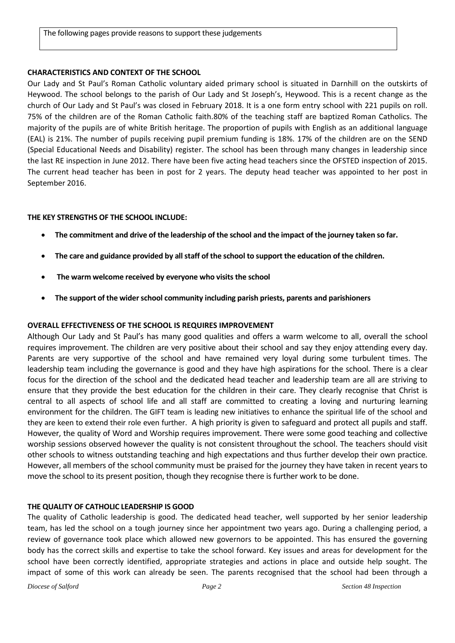# **CHARACTERISTICS AND CONTEXT OF THE SCHOOL**

Our Lady and St Paul's Roman Catholic voluntary aided primary school is situated in Darnhill on the outskirts of Heywood. The school belongs to the parish of Our Lady and St Joseph's, Heywood. This is a recent change as the church of Our Lady and St Paul's was closed in February 2018. It is a one form entry school with 221 pupils on roll. 75% of the children are of the Roman Catholic faith.80% of the teaching staff are baptized Roman Catholics. The majority of the pupils are of white British heritage. The proportion of pupils with English as an additional language (EAL) is 21%. The number of pupils receiving pupil premium funding is 18%. 17% of the children are on the SEND (Special Educational Needs and Disability) register. The school has been through many changes in leadership since the last RE inspection in June 2012. There have been five acting head teachers since the OFSTED inspection of 2015. The current head teacher has been in post for 2 years. The deputy head teacher was appointed to her post in September 2016.

# **THE KEY STRENGTHS OF THE SCHOOL INCLUDE:**

- **The commitment and drive of the leadership of the school and the impact of the journey taken so far.**
- **The care and guidance provided by all staff of the school to support the education of the children.**
- **The warm welcome received by everyone who visits the school**
- **The support of the wider school community including parish priests, parents and parishioners**

# **OVERALL EFFECTIVENESS OF THE SCHOOL IS REQUIRES IMPROVEMENT**

Although Our Lady and St Paul's has many good qualities and offers a warm welcome to all, overall the school requires improvement. The children are very positive about their school and say they enjoy attending every day. Parents are very supportive of the school and have remained very loyal during some turbulent times. The leadership team including the governance is good and they have high aspirations for the school. There is a clear focus for the direction of the school and the dedicated head teacher and leadership team are all are striving to ensure that they provide the best education for the children in their care. They clearly recognise that Christ is central to all aspects of school life and all staff are committed to creating a loving and nurturing learning environment for the children. The GIFT team is leading new initiatives to enhance the spiritual life of the school and they are keen to extend their role even further. A high priority is given to safeguard and protect all pupils and staff. However, the quality of Word and Worship requires improvement. There were some good teaching and collective worship sessions observed however the quality is not consistent throughout the school. The teachers should visit other schools to witness outstanding teaching and high expectations and thus further develop their own practice. However, all members of the school community must be praised for the journey they have taken in recent years to move the school to its present position, though they recognise there is further work to be done.

# **THE QUALITY OF CATHOLIC LEADERSHIP IS GOOD**

The quality of Catholic leadership is good. The dedicated head teacher, well supported by her senior leadership team, has led the school on a tough journey since her appointment two years ago. During a challenging period, a review of governance took place which allowed new governors to be appointed. This has ensured the governing body has the correct skills and expertise to take the school forward. Key issues and areas for development for the school have been correctly identified, appropriate strategies and actions in place and outside help sought. The impact of some of this work can already be seen. The parents recognised that the school had been through a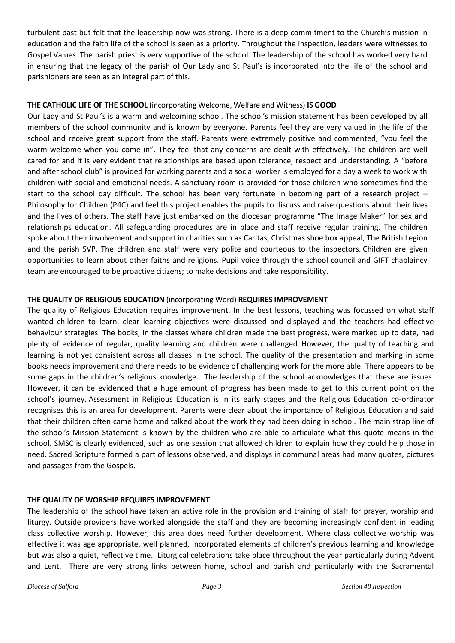turbulent past but felt that the leadership now was strong. There is a deep commitment to the Church's mission in education and the faith life of the school is seen as a priority. Throughout the inspection, leaders were witnesses to Gospel Values. The parish priest is very supportive of the school. The leadership of the school has worked very hard in ensuring that the legacy of the parish of Our Lady and St Paul's is incorporated into the life of the school and parishioners are seen as an integral part of this.

#### **THE CATHOLIC LIFE OF THE SCHOOL** (incorporating Welcome, Welfare and Witness) **IS GOOD**

Our Lady and St Paul's is a warm and welcoming school. The school's mission statement has been developed by all members of the school community and is known by everyone. Parents feel they are very valued in the life of the school and receive great support from the staff. Parents were extremely positive and commented, "you feel the warm welcome when you come in". They feel that any concerns are dealt with effectively. The children are well cared for and it is very evident that relationships are based upon tolerance, respect and understanding. A "before and after school club" is provided for working parents and a social worker is employed for a day a week to work with children with social and emotional needs. A sanctuary room is provided for those children who sometimes find the start to the school day difficult. The school has been very fortunate in becoming part of a research project – Philosophy for Children (P4C) and feel this project enables the pupils to discuss and raise questions about their lives and the lives of others. The staff have just embarked on the diocesan programme "The Image Maker" for sex and relationships education. All safeguarding procedures are in place and staff receive regular training. The children spoke about their involvement and support in charities such as Caritas, Christmas shoe box appeal, The British Legion and the parish SVP. The children and staff were very polite and courteous to the inspectors. Children are given opportunities to learn about other faiths and religions. Pupil voice through the school council and GIFT chaplaincy team are encouraged to be proactive citizens; to make decisions and take responsibility.

#### **THE QUALITY OF RELIGIOUS EDUCATION** (incorporating Word) **REQUIRES IMPROVEMENT**

The quality of Religious Education requires improvement. In the best lessons, teaching was focussed on what staff wanted children to learn; clear learning objectives were discussed and displayed and the teachers had effective behaviour strategies. The books, in the classes where children made the best progress, were marked up to date, had plenty of evidence of regular, quality learning and children were challenged. However, the quality of teaching and learning is not yet consistent across all classes in the school. The quality of the presentation and marking in some books needs improvement and there needs to be evidence of challenging work for the more able. There appears to be some gaps in the children's religious knowledge. The leadership of the school acknowledges that these are issues. However, it can be evidenced that a huge amount of progress has been made to get to this current point on the school's journey. Assessment in Religious Education is in its early stages and the Religious Education co-ordinator recognises this is an area for development. Parents were clear about the importance of Religious Education and said that their children often came home and talked about the work they had been doing in school. The main strap line of the school's Mission Statement is known by the children who are able to articulate what this quote means in the school. SMSC is clearly evidenced, such as one session that allowed children to explain how they could help those in need. Sacred Scripture formed a part of lessons observed, and displays in communal areas had many quotes, pictures and passages from the Gospels.

#### **THE QUALITY OF WORSHIP REQUIRES IMPROVEMENT**

The leadership of the school have taken an active role in the provision and training of staff for prayer, worship and liturgy. Outside providers have worked alongside the staff and they are becoming increasingly confident in leading class collective worship. However, this area does need further development. Where class collective worship was effective it was age appropriate, well planned, incorporated elements of children's previous learning and knowledge but was also a quiet, reflective time. Liturgical celebrations take place throughout the year particularly during Advent and Lent. There are very strong links between home, school and parish and particularly with the Sacramental